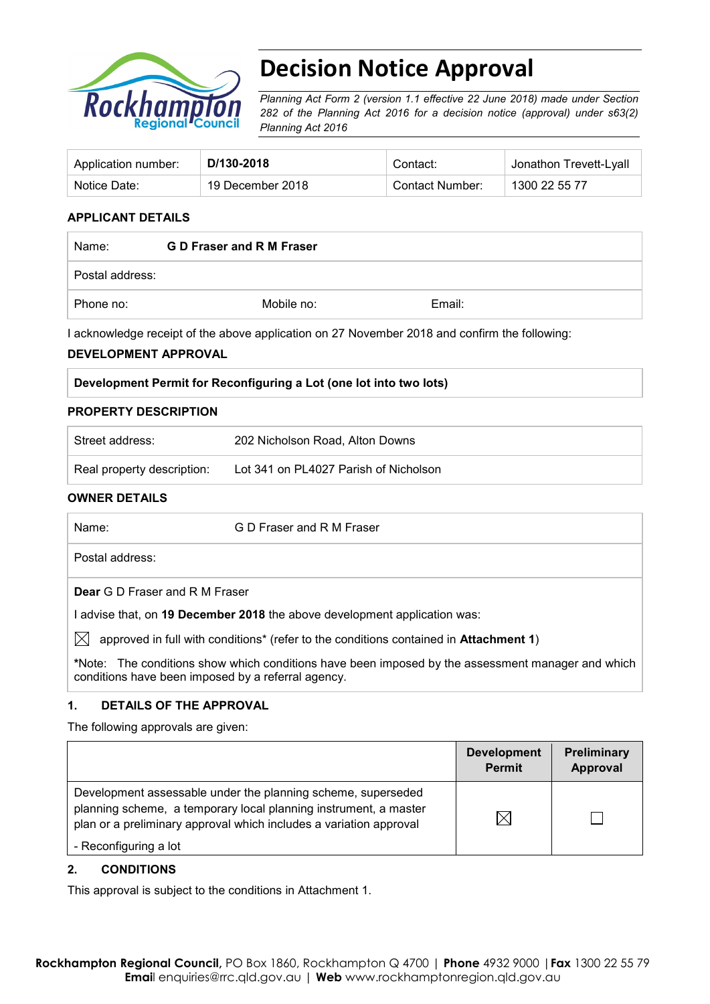

# **Decision Notice Approval**

*Planning Act Form 2 (version 1.1 effective 22 June 2018) made under Section 282 of the Planning Act 2016 for a decision notice (approval) under s63(2) Planning Act 2016*

| Application number: | D/130-2018       | Contact:        | Jonathon Trevett-Lyall |
|---------------------|------------------|-----------------|------------------------|
| Notice Date:        | 19 December 2018 | Contact Number: | 1300 22 55 77          |

## **APPLICANT DETAILS**

| Name:           | G D Fraser and R M Fraser |        |  |
|-----------------|---------------------------|--------|--|
| Postal address: |                           |        |  |
| Phone no:       | Mobile no:                | Email: |  |

I acknowledge receipt of the above application on 27 November 2018 and confirm the following:

#### **DEVELOPMENT APPROVAL**

| Development Permit for Reconfiguring a Lot (one lot into two lots) |  |
|--------------------------------------------------------------------|--|
|--------------------------------------------------------------------|--|

#### **PROPERTY DESCRIPTION**

| Street address:            | 202 Nicholson Road, Alton Downs       |
|----------------------------|---------------------------------------|
| Real property description: | Lot 341 on PL4027 Parish of Nicholson |

#### **OWNER DETAILS**

| Name:                                              | G D Fraser and R M Fraser                                                                         |
|----------------------------------------------------|---------------------------------------------------------------------------------------------------|
| Postal address:                                    |                                                                                                   |
| <b>Dear</b> G D Fraser and R M Fraser              |                                                                                                   |
|                                                    | I advise that, on 19 December 2018 the above development application was:                         |
| $\bowtie$                                          | approved in full with conditions* (refer to the conditions contained in Attachment 1)             |
| conditions have been imposed by a referral agency. | *Note: The conditions show which conditions have been imposed by the assessment manager and which |

#### **1. DETAILS OF THE APPROVAL**

The following approvals are given:

|                                                                                                                                                                                                        | <b>Development</b><br><b>Permit</b> | Preliminary<br>Approval |
|--------------------------------------------------------------------------------------------------------------------------------------------------------------------------------------------------------|-------------------------------------|-------------------------|
| Development assessable under the planning scheme, superseded<br>planning scheme, a temporary local planning instrument, a master<br>plan or a preliminary approval which includes a variation approval | IХ                                  |                         |
| - Reconfiguring a lot                                                                                                                                                                                  |                                     |                         |

## **2. CONDITIONS**

This approval is subject to the conditions in Attachment 1.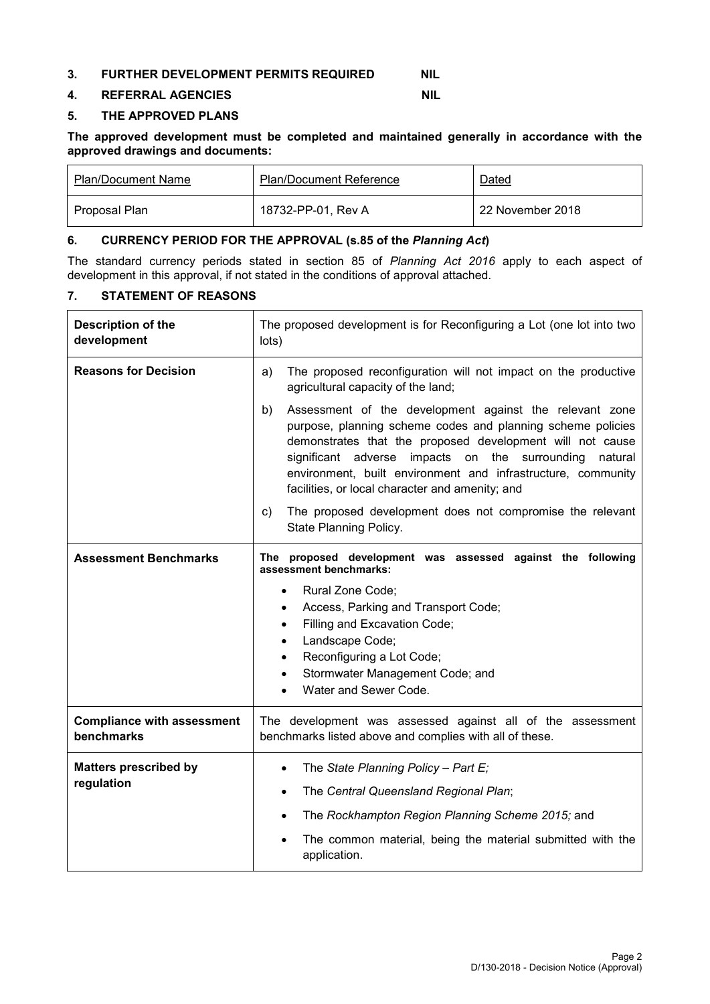#### **3. FURTHER DEVELOPMENT PERMITS REQUIRED NIL**

#### **4. REFERRAL AGENCIES NIL**

#### **5. THE APPROVED PLANS**

**The approved development must be completed and maintained generally in accordance with the approved drawings and documents:**

| <b>Plan/Document Name</b> | <b>Plan/Document Reference</b> | Dated            |
|---------------------------|--------------------------------|------------------|
| Proposal Plan             | 18732-PP-01. Rev A             | 22 November 2018 |

#### **6. CURRENCY PERIOD FOR THE APPROVAL (s.85 of the** *Planning Act***)**

The standard currency periods stated in section 85 of *Planning Act 2016* apply to each aspect of development in this approval, if not stated in the conditions of approval attached.

#### **7. STATEMENT OF REASONS**

| Description of the<br>development               | The proposed development is for Reconfiguring a Lot (one lot into two<br>lots)                                                                                                                                                                                                                                                                                            |  |  |
|-------------------------------------------------|---------------------------------------------------------------------------------------------------------------------------------------------------------------------------------------------------------------------------------------------------------------------------------------------------------------------------------------------------------------------------|--|--|
| <b>Reasons for Decision</b>                     | The proposed reconfiguration will not impact on the productive<br>a)<br>agricultural capacity of the land;                                                                                                                                                                                                                                                                |  |  |
|                                                 | Assessment of the development against the relevant zone<br>b)<br>purpose, planning scheme codes and planning scheme policies<br>demonstrates that the proposed development will not cause<br>significant adverse impacts on the surrounding<br>natural<br>environment, built environment and infrastructure, community<br>facilities, or local character and amenity; and |  |  |
|                                                 | The proposed development does not compromise the relevant<br>C)<br>State Planning Policy.                                                                                                                                                                                                                                                                                 |  |  |
| <b>Assessment Benchmarks</b>                    | The proposed development was assessed against the following<br>assessment benchmarks:<br>Rural Zone Code;<br>$\bullet$                                                                                                                                                                                                                                                    |  |  |
|                                                 | Access, Parking and Transport Code;<br>$\bullet$                                                                                                                                                                                                                                                                                                                          |  |  |
|                                                 | Filling and Excavation Code;<br>$\bullet$<br>Landscape Code;<br>$\bullet$<br>Reconfiguring a Lot Code;<br>$\bullet$<br>Stormwater Management Code; and<br>$\bullet$                                                                                                                                                                                                       |  |  |
|                                                 |                                                                                                                                                                                                                                                                                                                                                                           |  |  |
|                                                 | Water and Sewer Code.<br>$\bullet$                                                                                                                                                                                                                                                                                                                                        |  |  |
| <b>Compliance with assessment</b><br>benchmarks | The development was assessed against all of the assessment<br>benchmarks listed above and complies with all of these.                                                                                                                                                                                                                                                     |  |  |
| <b>Matters prescribed by</b>                    | The State Planning Policy - Part E;<br>$\bullet$                                                                                                                                                                                                                                                                                                                          |  |  |
| regulation                                      | The Central Queensland Regional Plan;<br>$\bullet$                                                                                                                                                                                                                                                                                                                        |  |  |
|                                                 | The Rockhampton Region Planning Scheme 2015; and<br>$\bullet$                                                                                                                                                                                                                                                                                                             |  |  |
|                                                 | The common material, being the material submitted with the<br>application.                                                                                                                                                                                                                                                                                                |  |  |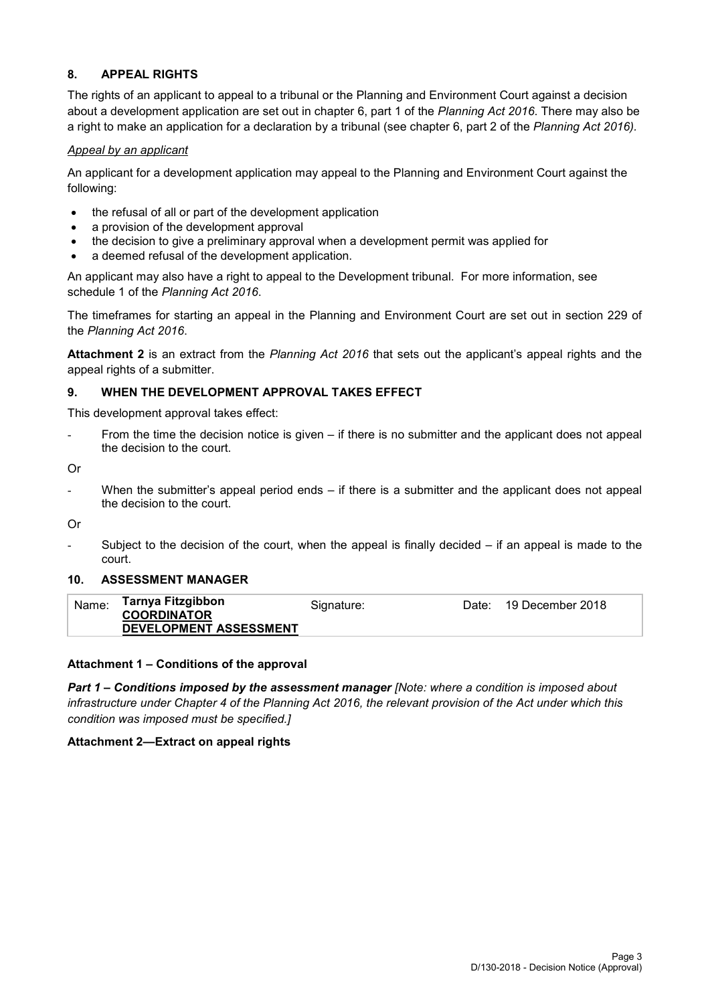#### **8. APPEAL RIGHTS**

The rights of an applicant to appeal to a tribunal or the Planning and Environment Court against a decision about a development application are set out in chapter 6, part 1 of the *Planning Act 2016*. There may also be a right to make an application for a declaration by a tribunal (see chapter 6, part 2 of the *Planning Act 2016).*

#### *Appeal by an applicant*

An applicant for a development application may appeal to the Planning and Environment Court against the following:

- the refusal of all or part of the development application
- a provision of the development approval
- the decision to give a preliminary approval when a development permit was applied for
- a deemed refusal of the development application.

An applicant may also have a right to appeal to the Development tribunal. For more information, see schedule 1 of the *Planning Act 2016*.

The timeframes for starting an appeal in the Planning and Environment Court are set out in section 229 of the *Planning Act 2016*.

**Attachment 2** is an extract from the *Planning Act 2016* that sets out the applicant's appeal rights and the appeal rights of a submitter.

#### **9. WHEN THE DEVELOPMENT APPROVAL TAKES EFFECT**

This development approval takes effect:

From the time the decision notice is given – if there is no submitter and the applicant does not appeal the decision to the court.

Or

- When the submitter's appeal period ends – if there is a submitter and the applicant does not appeal the decision to the court.

Or

Subject to the decision of the court, when the appeal is finally decided  $-$  if an appeal is made to the court.

#### **10. ASSESSMENT MANAGER**

| Name: | Tarnya Fitzgibbon<br><b>COORDINATOR</b><br>DEVELOPMENT ASSESSMENT | Signature: | Date: . | 19 December 2018 |
|-------|-------------------------------------------------------------------|------------|---------|------------------|
|       |                                                                   |            |         |                  |

#### **Attachment 1 – Conditions of the approval**

*Part 1* **–** *Conditions imposed by the assessment manager [Note: where a condition is imposed about infrastructure under Chapter 4 of the Planning Act 2016, the relevant provision of the Act under which this condition was imposed must be specified.]*

#### **Attachment 2—Extract on appeal rights**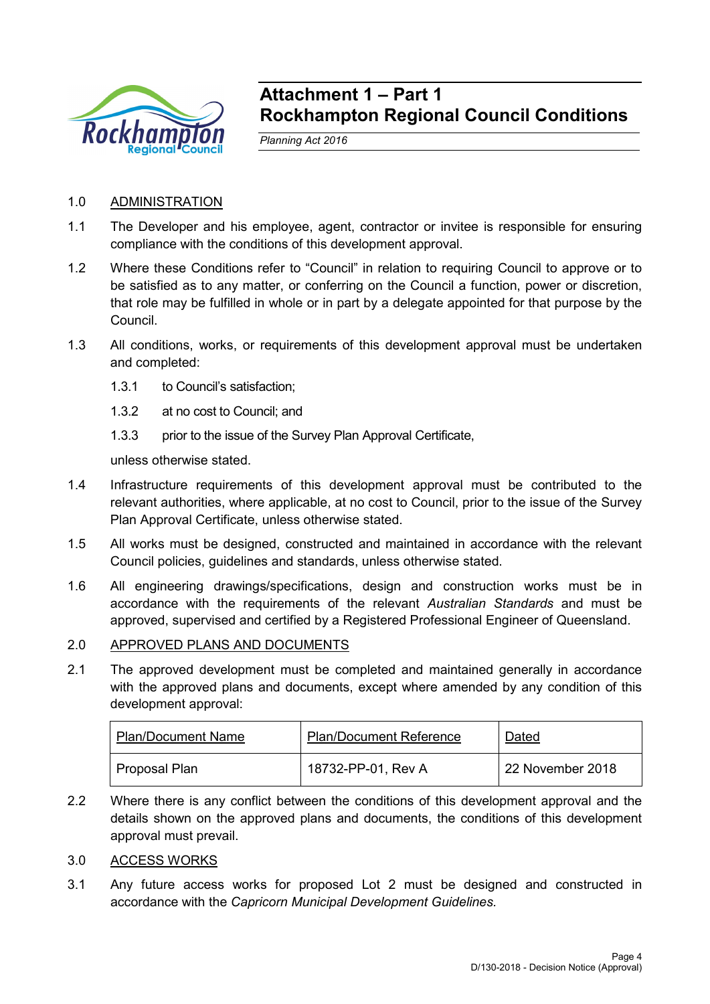

# **Attachment 1 – Part 1 Rockhampton Regional Council Conditions**

*Planning Act 2016*

# 1.0 ADMINISTRATION

- 1.1 The Developer and his employee, agent, contractor or invitee is responsible for ensuring compliance with the conditions of this development approval.
- 1.2 Where these Conditions refer to "Council" in relation to requiring Council to approve or to be satisfied as to any matter, or conferring on the Council a function, power or discretion, that role may be fulfilled in whole or in part by a delegate appointed for that purpose by the Council.
- 1.3 All conditions, works, or requirements of this development approval must be undertaken and completed:
	- 1.3.1 to Council's satisfaction;
	- 1.3.2 at no cost to Council; and
	- 1.3.3 prior to the issue of the Survey Plan Approval Certificate,

unless otherwise stated.

- 1.4 Infrastructure requirements of this development approval must be contributed to the relevant authorities, where applicable, at no cost to Council, prior to the issue of the Survey Plan Approval Certificate, unless otherwise stated.
- 1.5 All works must be designed, constructed and maintained in accordance with the relevant Council policies, guidelines and standards, unless otherwise stated.
- 1.6 All engineering drawings/specifications, design and construction works must be in accordance with the requirements of the relevant *Australian Standards* and must be approved, supervised and certified by a Registered Professional Engineer of Queensland.

## 2.0 APPROVED PLANS AND DOCUMENTS

2.1 The approved development must be completed and maintained generally in accordance with the approved plans and documents, except where amended by any condition of this development approval:

| <b>Plan/Document Name</b> | <b>Plan/Document Reference</b> | Dated            |
|---------------------------|--------------------------------|------------------|
| Proposal Plan             | 18732-PP-01, Rev A             | 22 November 2018 |

2.2 Where there is any conflict between the conditions of this development approval and the details shown on the approved plans and documents, the conditions of this development approval must prevail.

## 3.0 ACCESS WORKS

3.1 Any future access works for proposed Lot 2 must be designed and constructed in accordance with the *Capricorn Municipal Development Guidelines.*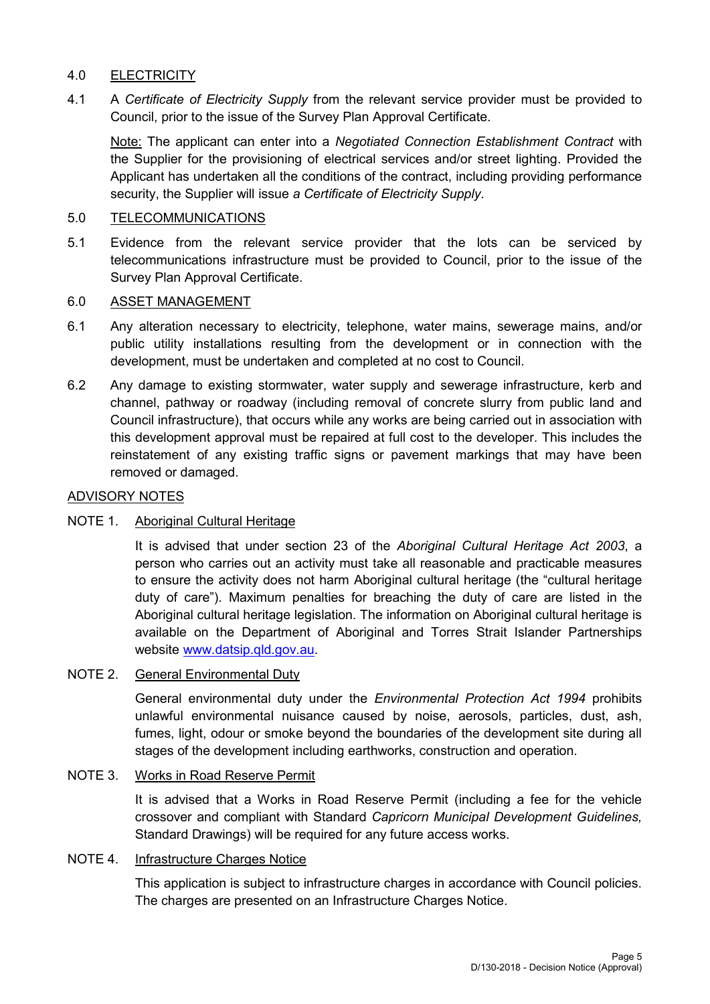# 4.0 ELECTRICITY

4.1 A *Certificate of Electricity Supply* from the relevant service provider must be provided to Council, prior to the issue of the Survey Plan Approval Certificate.

Note: The applicant can enter into a *Negotiated Connection Establishment Contract* with the Supplier for the provisioning of electrical services and/or street lighting. Provided the Applicant has undertaken all the conditions of the contract, including providing performance security, the Supplier will issue *a Certificate of Electricity Supply*.

#### 5.0 TELECOMMUNICATIONS

5.1 Evidence from the relevant service provider that the lots can be serviced by telecommunications infrastructure must be provided to Council, prior to the issue of the Survey Plan Approval Certificate.

#### 6.0 ASSET MANAGEMENT

- 6.1 Any alteration necessary to electricity, telephone, water mains, sewerage mains, and/or public utility installations resulting from the development or in connection with the development, must be undertaken and completed at no cost to Council.
- 6.2 Any damage to existing stormwater, water supply and sewerage infrastructure, kerb and channel, pathway or roadway (including removal of concrete slurry from public land and Council infrastructure), that occurs while any works are being carried out in association with this development approval must be repaired at full cost to the developer. This includes the reinstatement of any existing traffic signs or pavement markings that may have been removed or damaged.

#### ADVISORY NOTES

## NOTE 1. Aboriginal Cultural Heritage

It is advised that under section 23 of the *Aboriginal Cultural Heritage Act 2003*, a person who carries out an activity must take all reasonable and practicable measures to ensure the activity does not harm Aboriginal cultural heritage (the "cultural heritage duty of care"). Maximum penalties for breaching the duty of care are listed in the Aboriginal cultural heritage legislation. The information on Aboriginal cultural heritage is available on the Department of Aboriginal and Torres Strait Islander Partnerships website [www.datsip.qld.gov.au.](http://www.datsip.qld.gov.au/)

# NOTE 2. General Environmental Duty

General environmental duty under the *Environmental Protection Act 1994* prohibits unlawful environmental nuisance caused by noise, aerosols, particles, dust, ash, fumes, light, odour or smoke beyond the boundaries of the development site during all stages of the development including earthworks, construction and operation.

#### NOTE 3. Works in Road Reserve Permit

It is advised that a Works in Road Reserve Permit (including a fee for the vehicle crossover and compliant with Standard *Capricorn Municipal Development Guidelines,* Standard Drawings) will be required for any future access works.

## NOTE 4. Infrastructure Charges Notice

This application is subject to infrastructure charges in accordance with Council policies. The charges are presented on an Infrastructure Charges Notice.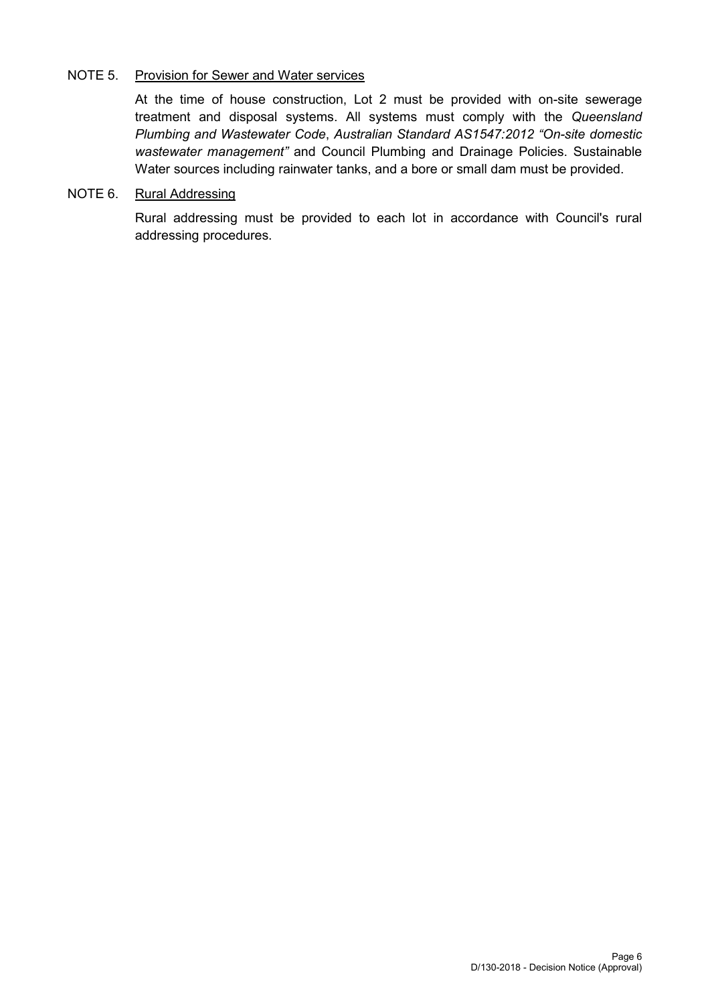## NOTE 5. Provision for Sewer and Water services

At the time of house construction, Lot 2 must be provided with on-site sewerage treatment and disposal systems. All systems must comply with the *Queensland Plumbing and Wastewater Code*, *Australian Standard AS1547:2012 "On-site domestic wastewater management"* and Council Plumbing and Drainage Policies. Sustainable Water sources including rainwater tanks, and a bore or small dam must be provided.

# NOTE 6. Rural Addressing

Rural addressing must be provided to each lot in accordance with Council's rural addressing procedures.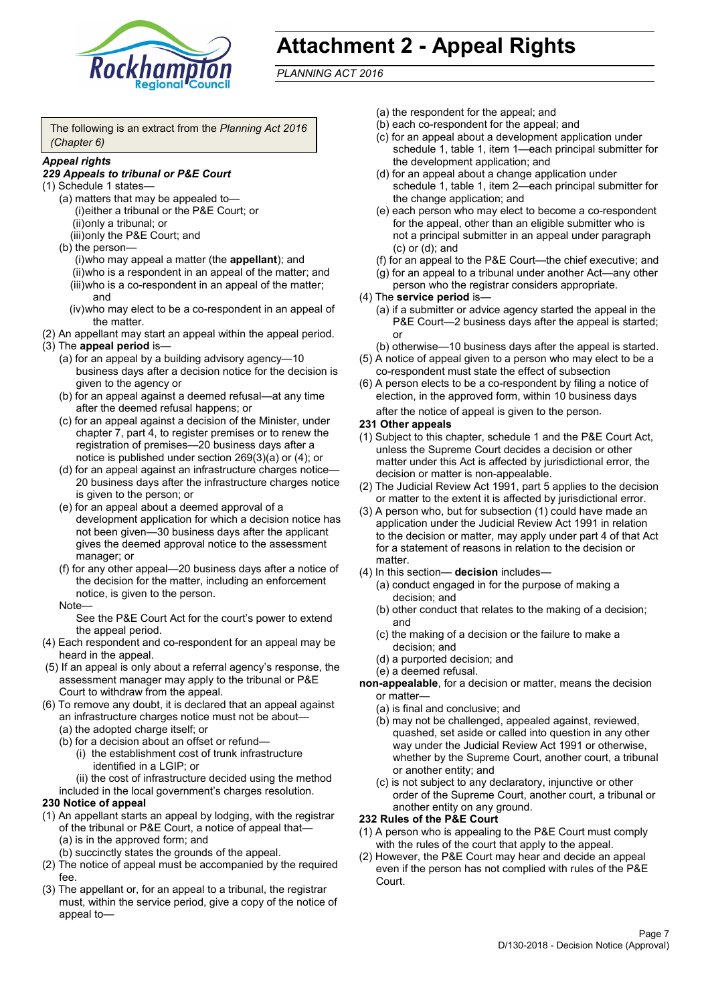

# **Attachment 2 - Appeal Rights**

*PLANNING ACT 2016*

The following is an extract from the *Planning Act 2016 (Chapter 6)*

#### *Appeal rights*

#### *229 Appeals to tribunal or P&E Court*

- (1) Schedule 1 states—
	- (a) matters that may be appealed to— (i)either a tribunal or the P&E Court; or (ii)only a tribunal; or (iii)only the P&E Court; and
	- (b) the person—

(i)who may appeal a matter (the **appellant**); and (ii)who is a respondent in an appeal of the matter; and (iii)who is a co-respondent in an appeal of the matter; and

- (iv)who may elect to be a co-respondent in an appeal of the matter.
- (2) An appellant may start an appeal within the appeal period.
- (3) The **appeal period** is—
	- (a) for an appeal by a building advisory agency—10 business days after a decision notice for the decision is given to the agency or
	- (b) for an appeal against a deemed refusal—at any time after the deemed refusal happens; or
	- (c) for an appeal against a decision of the Minister, under chapter 7, part 4, to register premises or to renew the registration of premises—20 business days after a notice is published under section 269(3)(a) or (4); or
	- (d) for an appeal against an infrastructure charges notice— 20 business days after the infrastructure charges notice is given to the person; or
	- (e) for an appeal about a deemed approval of a development application for which a decision notice has not been given—30 business days after the applicant gives the deemed approval notice to the assessment manager; or
	- (f) for any other appeal—20 business days after a notice of the decision for the matter, including an enforcement notice, is given to the person.

#### Note—

See the P&E Court Act for the court's power to extend the appeal period.

- (4) Each respondent and co-respondent for an appeal may be heard in the appeal.
- (5) If an appeal is only about a referral agency's response, the assessment manager may apply to the tribunal or P&E Court to withdraw from the appeal.
- (6) To remove any doubt, it is declared that an appeal against an infrastructure charges notice must not be about—
	- (a) the adopted charge itself; or
	- (b) for a decision about an offset or refund—
		- (i) the establishment cost of trunk infrastructure identified in a LGIP; or
		- (ii) the cost of infrastructure decided using the method

included in the local government's charges resolution.

#### **230 Notice of appeal**

- (1) An appellant starts an appeal by lodging, with the registrar of the tribunal or P&E Court, a notice of appeal that—
	- (a) is in the approved form; and
	- (b) succinctly states the grounds of the appeal.
- (2) The notice of appeal must be accompanied by the required fee.
- (3) The appellant or, for an appeal to a tribunal, the registrar must, within the service period, give a copy of the notice of appeal to—
- (a) the respondent for the appeal; and
- (b) each co-respondent for the appeal; and
- (c) for an appeal about a development application under schedule 1, table 1, item 1—each principal submitter for the development application; and
- (d) for an appeal about a change application under schedule 1, table 1, item 2—each principal submitter for the change application; and
- (e) each person who may elect to become a co-respondent for the appeal, other than an eligible submitter who is not a principal submitter in an appeal under paragraph (c) or (d); and
- (f) for an appeal to the P&E Court—the chief executive; and
- (g) for an appeal to a tribunal under another Act—any other person who the registrar considers appropriate.
- (4) The **service period** is—
	- (a) if a submitter or advice agency started the appeal in the P&E Court—2 business days after the appeal is started; or
	- (b) otherwise—10 business days after the appeal is started.
- (5) A notice of appeal given to a person who may elect to be a co-respondent must state the effect of subsection
- (6) A person elects to be a co-respondent by filing a notice of election, in the approved form, within 10 business days after the notice of appeal is given to the person*.*
- **231 Other appeals**
- (1) Subject to this chapter, schedule 1 and the P&E Court Act, unless the Supreme Court decides a decision or other matter under this Act is affected by jurisdictional error, the decision or matter is non-appealable.
- (2) The Judicial Review Act 1991, part 5 applies to the decision or matter to the extent it is affected by jurisdictional error.
- (3) A person who, but for subsection (1) could have made an application under the Judicial Review Act 1991 in relation to the decision or matter, may apply under part 4 of that Act for a statement of reasons in relation to the decision or matter.
- (4) In this section— **decision** includes—
	- (a) conduct engaged in for the purpose of making a decision; and
	- (b) other conduct that relates to the making of a decision; and
	- (c) the making of a decision or the failure to make a decision; and
	- (d) a purported decision; and
	- (e) a deemed refusal.
- **non-appealable**, for a decision or matter, means the decision or matter—
	- (a) is final and conclusive; and
	- (b) may not be challenged, appealed against, reviewed, quashed, set aside or called into question in any other way under the Judicial Review Act 1991 or otherwise, whether by the Supreme Court, another court, a tribunal or another entity; and
	- (c) is not subject to any declaratory, injunctive or other order of the Supreme Court, another court, a tribunal or another entity on any ground.

#### **232 Rules of the P&E Court**

- (1) A person who is appealing to the P&E Court must comply with the rules of the court that apply to the appeal.
- (2) However, the P&E Court may hear and decide an appeal even if the person has not complied with rules of the P&E Court.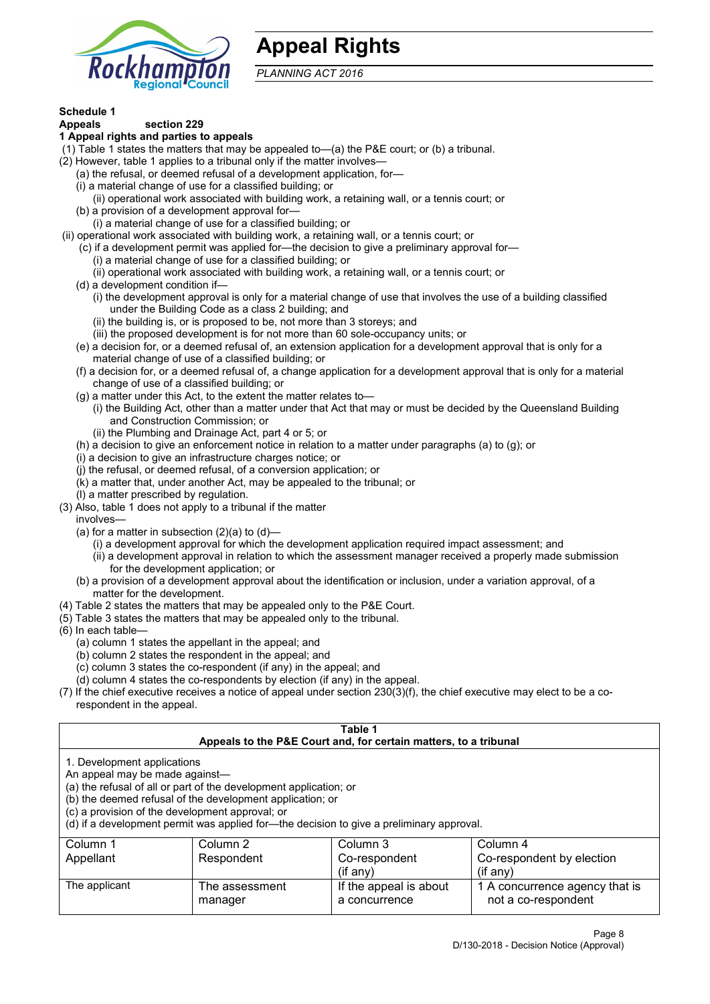

# **Appeal Rights**

*PLANNING ACT 2016*

# **Schedule 1**

#### **Appeals section 229 1 Appeal rights and parties to appeals**

- (1) Table 1 states the matters that may be appealed to—(a) the P&E court; or (b) a tribunal.
- (2) However, table 1 applies to a tribunal only if the matter involves—
	- (a) the refusal, or deemed refusal of a development application, for—
	- (i) a material change of use for a classified building; or
	- (ii) operational work associated with building work, a retaining wall, or a tennis court; or
	- (b) a provision of a development approval for—
	- (i) a material change of use for a classified building; or
- (ii) operational work associated with building work, a retaining wall, or a tennis court; or
	- (c) if a development permit was applied for—the decision to give a preliminary approval for—
		- (i) a material change of use for a classified building; or
	- (ii) operational work associated with building work, a retaining wall, or a tennis court; or
	- (d) a development condition if—
		- (i) the development approval is only for a material change of use that involves the use of a building classified under the Building Code as a class 2 building; and
		- (ii) the building is, or is proposed to be, not more than 3 storeys; and
		- (iii) the proposed development is for not more than 60 sole-occupancy units; or
	- (e) a decision for, or a deemed refusal of, an extension application for a development approval that is only for a material change of use of a classified building; or
	- (f) a decision for, or a deemed refusal of, a change application for a development approval that is only for a material change of use of a classified building; or
	- (g) a matter under this Act, to the extent the matter relates to—
		- (i) the Building Act, other than a matter under that Act that may or must be decided by the Queensland Building and Construction Commission; or
		- (ii) the Plumbing and Drainage Act, part 4 or 5; or
	- (h) a decision to give an enforcement notice in relation to a matter under paragraphs (a) to (g); or
	- (i) a decision to give an infrastructure charges notice; or
	- (j) the refusal, or deemed refusal, of a conversion application; or
	- (k) a matter that, under another Act, may be appealed to the tribunal; or
	- (l) a matter prescribed by regulation.
- (3) Also, table 1 does not apply to a tribunal if the matter

involves—

- (a) for a matter in subsection  $(2)(a)$  to  $(d)$ 
	- (i) a development approval for which the development application required impact assessment; and
	- (ii) a development approval in relation to which the assessment manager received a properly made submission for the development application; or
- (b) a provision of a development approval about the identification or inclusion, under a variation approval, of a matter for the development.
- (4) Table 2 states the matters that may be appealed only to the P&E Court.
- (5) Table 3 states the matters that may be appealed only to the tribunal.
- (6) In each table—
	- (a) column 1 states the appellant in the appeal; and
	- (b) column 2 states the respondent in the appeal; and
	- (c) column 3 states the co-respondent (if any) in the appeal; and
	- (d) column 4 states the co-respondents by election (if any) in the appeal.
- (7) If the chief executive receives a notice of appeal under section 230(3)(f), the chief executive may elect to be a corespondent in the appeal.

| Table 1                                                                                                                                                                                                                                                                                                                                        |                           |                                                                  |                                                       |  |
|------------------------------------------------------------------------------------------------------------------------------------------------------------------------------------------------------------------------------------------------------------------------------------------------------------------------------------------------|---------------------------|------------------------------------------------------------------|-------------------------------------------------------|--|
|                                                                                                                                                                                                                                                                                                                                                |                           | Appeals to the P&E Court and, for certain matters, to a tribunal |                                                       |  |
| 1. Development applications<br>An appeal may be made against-<br>(a) the refusal of all or part of the development application; or<br>(b) the deemed refusal of the development application; or<br>(c) a provision of the development approval; or<br>(d) if a development permit was applied for-the decision to give a preliminary approval. |                           |                                                                  |                                                       |  |
| Column 1                                                                                                                                                                                                                                                                                                                                       | Column 2                  | Column 3                                                         | Column 4                                              |  |
| Appellant                                                                                                                                                                                                                                                                                                                                      | Respondent                | Co-respondent                                                    | Co-respondent by election                             |  |
|                                                                                                                                                                                                                                                                                                                                                |                           | $($ if any $)$                                                   | $(f \text{an} v)$                                     |  |
| The applicant                                                                                                                                                                                                                                                                                                                                  | The assessment<br>manager | If the appeal is about<br>a concurrence                          | 1 A concurrence agency that is<br>not a co-respondent |  |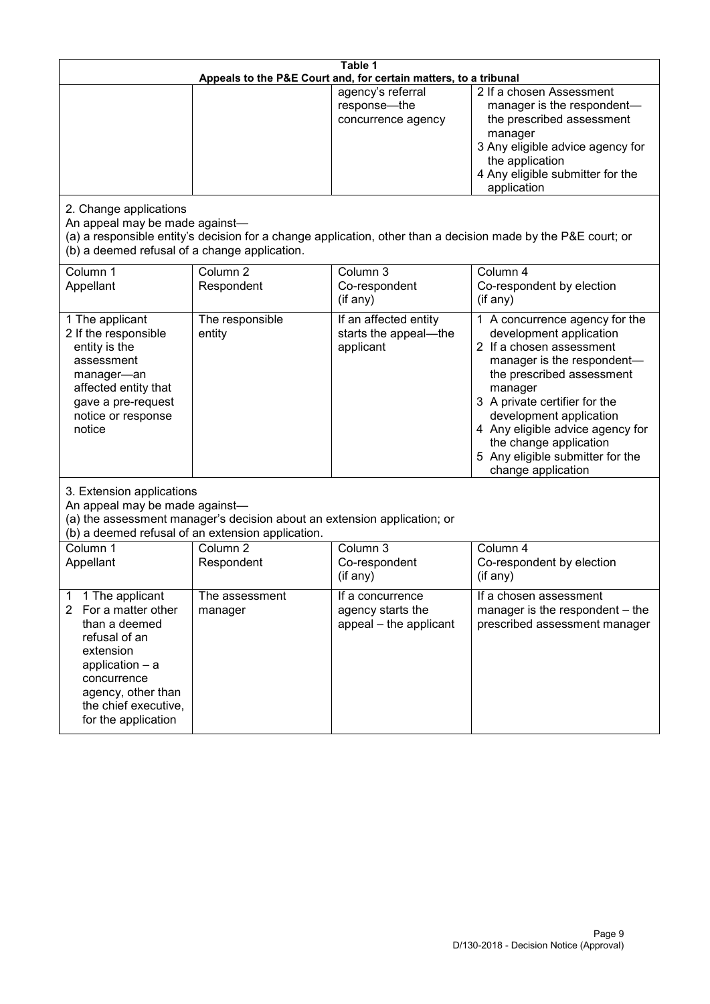| Table 1<br>Appeals to the P&E Court and, for certain matters, to a tribunal                                                                                                                                          |                                   |                                                                 |                                                                                                                                                                                                                                                                                                                                                 |
|----------------------------------------------------------------------------------------------------------------------------------------------------------------------------------------------------------------------|-----------------------------------|-----------------------------------------------------------------|-------------------------------------------------------------------------------------------------------------------------------------------------------------------------------------------------------------------------------------------------------------------------------------------------------------------------------------------------|
|                                                                                                                                                                                                                      |                                   | agency's referral<br>response-the<br>concurrence agency         | 2 If a chosen Assessment<br>manager is the respondent-<br>the prescribed assessment<br>manager<br>3 Any eligible advice agency for<br>the application<br>4 Any eligible submitter for the<br>application                                                                                                                                        |
| 2. Change applications<br>An appeal may be made against-<br>(b) a deemed refusal of a change application.                                                                                                            |                                   |                                                                 | (a) a responsible entity's decision for a change application, other than a decision made by the P&E court; or                                                                                                                                                                                                                                   |
| Column 1<br>Appellant                                                                                                                                                                                                | Column <sub>2</sub><br>Respondent | Column 3<br>Co-respondent<br>(if any)                           | Column 4<br>Co-respondent by election<br>(if any)                                                                                                                                                                                                                                                                                               |
| 1 The applicant<br>2 If the responsible<br>entity is the<br>assessment<br>manager-an<br>affected entity that<br>gave a pre-request<br>notice or response<br>notice                                                   | The responsible<br>entity         | If an affected entity<br>starts the appeal-the<br>applicant     | 1 A concurrence agency for the<br>development application<br>2 If a chosen assessment<br>manager is the respondent-<br>the prescribed assessment<br>manager<br>3 A private certifier for the<br>development application<br>4 Any eligible advice agency for<br>the change application<br>5 Any eligible submitter for the<br>change application |
| 3. Extension applications<br>An appeal may be made against-<br>(a) the assessment manager's decision about an extension application; or<br>(b) a deemed refusal of an extension application.                         |                                   |                                                                 |                                                                                                                                                                                                                                                                                                                                                 |
| Column 1<br>Appellant                                                                                                                                                                                                | Column <sub>2</sub><br>Respondent | Column 3<br>Co-respondent<br>(if any)                           | Column 4<br>Co-respondent by election<br>(if any)                                                                                                                                                                                                                                                                                               |
| 1 The applicant<br>1<br>$\overline{2}$<br>For a matter other<br>than a deemed<br>refusal of an<br>extension<br>application $-$ a<br>concurrence<br>agency, other than<br>the chief executive,<br>for the application | The assessment<br>manager         | If a concurrence<br>agency starts the<br>appeal - the applicant | If a chosen assessment<br>manager is the respondent – the<br>prescribed assessment manager                                                                                                                                                                                                                                                      |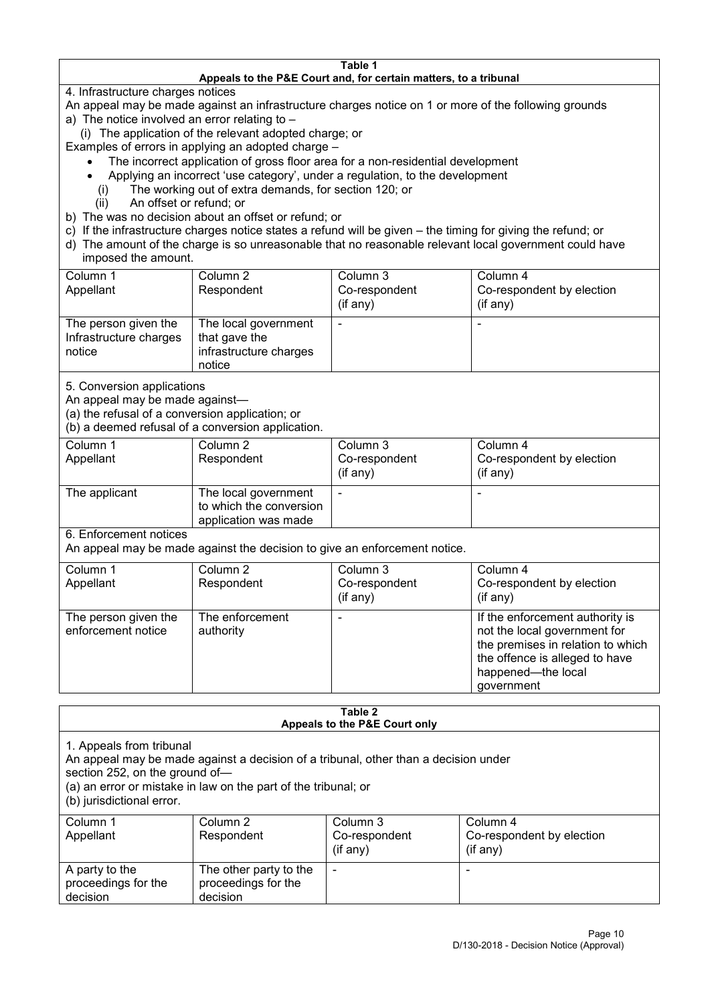#### **Table 1 Appeals to the P&E Court and, for certain matters, to a tribunal**

4. Infrastructure charges notices

- An appeal may be made against an infrastructure charges notice on 1 or more of the following grounds
- a) The notice involved an error relating to
	- (i) The application of the relevant adopted charge; or
- Examples of errors in applying an adopted charge
	- The incorrect application of gross floor area for a non-residential development
	- Applying an incorrect 'use category', under a regulation, to the development
	- (i) The working out of extra demands, for section 120; or
	- (ii) An offset or refund; or
- b) The was no decision about an offset or refund; or
- c) If the infrastructure charges notice states a refund will be given the timing for giving the refund; or
- d) The amount of the charge is so unreasonable that no reasonable relevant local government could have
- imposed the amount.

| Column 1                                                 | Column 2                                                                  | Column 3      | Column 4                  |
|----------------------------------------------------------|---------------------------------------------------------------------------|---------------|---------------------------|
| Appellant                                                | Respondent                                                                | Co-respondent | Co-respondent by election |
|                                                          |                                                                           | (if any)      | (if any)                  |
| The person given the<br>Infrastructure charges<br>notice | The local government<br>that gave the<br>infrastructure charges<br>notice |               | -                         |

5. Conversion applications

An appeal may be made against—

(a) the refusal of a conversion application; or

(b) a deemed refusal of a conversion application.

| Column 1<br>Appellant | Column 2<br>Respondent                                                  | Column 3<br>Co-respondent | Column 4<br>Co-respondent by election |
|-----------------------|-------------------------------------------------------------------------|---------------------------|---------------------------------------|
|                       |                                                                         | $($ if any $)$            | $(if$ any)                            |
| The applicant         | The local government<br>to which the conversion<br>application was made |                           |                                       |

6. Enforcement notices

An appeal may be made against the decision to give an enforcement notice.

| Column 1                                   | Column 2                     | Column 3      | Column 4                                                                                                                                                                   |
|--------------------------------------------|------------------------------|---------------|----------------------------------------------------------------------------------------------------------------------------------------------------------------------------|
| Appellant                                  | Respondent                   | Co-respondent | Co-respondent by election                                                                                                                                                  |
|                                            |                              | (if any)      | (if any)                                                                                                                                                                   |
| The person given the<br>enforcement notice | The enforcement<br>authority |               | If the enforcement authority is<br>not the local government for<br>the premises in relation to which<br>the offence is alleged to have<br>happened-the local<br>government |

#### **Table 2 Appeals to the P&E Court only**

1. Appeals from tribunal

An appeal may be made against a decision of a tribunal, other than a decision under

section 252, on the ground of—

(a) an error or mistake in law on the part of the tribunal; or

(b) jurisdictional error.

| Column 1<br>Appellant                             | Column 2<br>Respondent                                    | Column 3<br>Co-respondent<br>$($ if any $)$ | Column 4<br>Co-respondent by election<br>$($ if any $)$ |
|---------------------------------------------------|-----------------------------------------------------------|---------------------------------------------|---------------------------------------------------------|
| A party to the<br>proceedings for the<br>decision | The other party to the<br>proceedings for the<br>decision | $\overline{\phantom{a}}$                    |                                                         |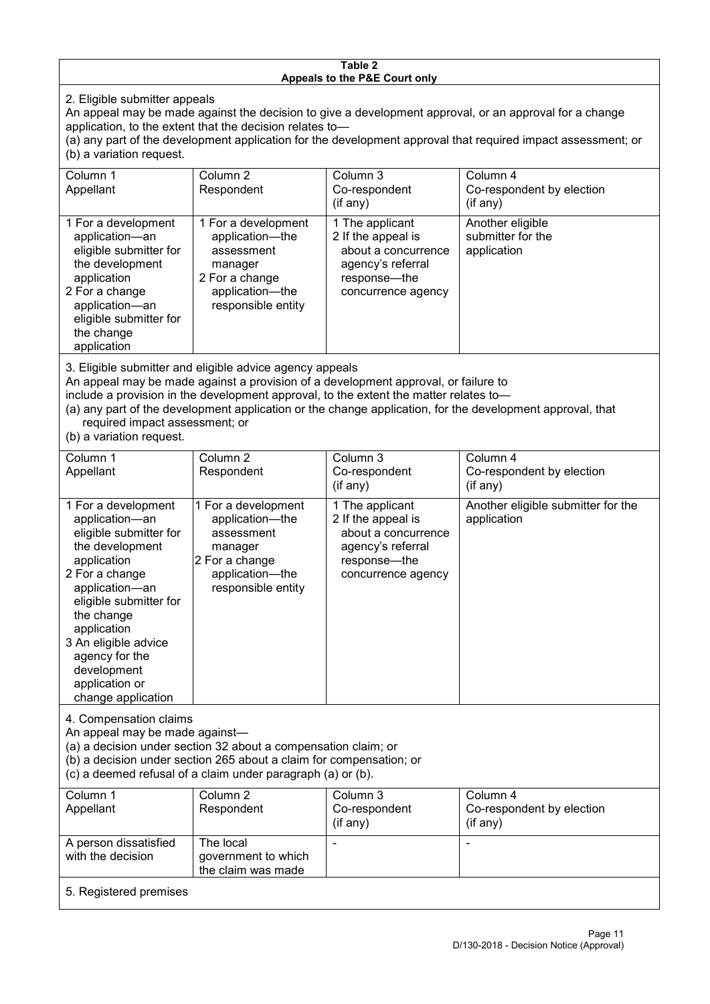#### **Table 2 Appeals to the P&E Court only**

2. Eligible submitter appeals

An appeal may be made against the decision to give a development approval, or an approval for a change application, to the extent that the decision relates to—

(a) any part of the development application for the development approval that required impact assessment; or (b) a variation request.

| Column 1                                                                                                                                                                                                                                                                                                                                             | Column 2                                                                                                                   | Column 3                                                                                                                | Column 4                                             |  |
|------------------------------------------------------------------------------------------------------------------------------------------------------------------------------------------------------------------------------------------------------------------------------------------------------------------------------------------------------|----------------------------------------------------------------------------------------------------------------------------|-------------------------------------------------------------------------------------------------------------------------|------------------------------------------------------|--|
| Appellant                                                                                                                                                                                                                                                                                                                                            | Respondent                                                                                                                 | Co-respondent                                                                                                           | Co-respondent by election                            |  |
|                                                                                                                                                                                                                                                                                                                                                      |                                                                                                                            | $($ if any $)$                                                                                                          | (if any)                                             |  |
| 1 For a development<br>application-an<br>eligible submitter for<br>the development<br>application<br>2 For a change<br>application-an<br>eligible submitter for<br>the change<br>application                                                                                                                                                         | 1 For a development<br>application-the<br>assessment<br>manager<br>2 For a change<br>application-the<br>responsible entity | 1 The applicant<br>2 If the appeal is<br>about a concurrence<br>agency's referral<br>response—the<br>concurrence agency | Another eligible<br>submitter for the<br>application |  |
|                                                                                                                                                                                                                                                                                                                                                      |                                                                                                                            |                                                                                                                         |                                                      |  |
| 3. Eligible submitter and eligible advice agency appeals<br>An appeal may be made against a provision of a development approval, or failure to<br>include a provision in the development approval, to the extent the matter relates to-<br>(a) any part of the development application or the change application, for the development approval, that |                                                                                                                            |                                                                                                                         |                                                      |  |

required impact assessment; or

(b) a variation request.

| Column 1<br>Appellant                                                                                                                                                                                                                                                                         | Column <sub>2</sub><br>Respondent                                                                                          | Column 3<br>Co-respondent                                                                                               | Column 4<br>Co-respondent by election             |
|-----------------------------------------------------------------------------------------------------------------------------------------------------------------------------------------------------------------------------------------------------------------------------------------------|----------------------------------------------------------------------------------------------------------------------------|-------------------------------------------------------------------------------------------------------------------------|---------------------------------------------------|
|                                                                                                                                                                                                                                                                                               |                                                                                                                            | $($ if any $)$                                                                                                          | (if any)                                          |
| 1 For a development<br>application-an<br>eligible submitter for<br>the development<br>application<br>2 For a change<br>application-an<br>eligible submitter for<br>the change<br>application<br>3 An eligible advice<br>agency for the<br>development<br>application or<br>change application | 1 For a development<br>application-the<br>assessment<br>manager<br>2 For a change<br>application-the<br>responsible entity | 1 The applicant<br>2 If the appeal is<br>about a concurrence<br>agency's referral<br>response-the<br>concurrence agency | Another eligible submitter for the<br>application |
| 4. Compensation claims<br>An appeal may be made against-<br>(a) a decision under section 32 about a compensation claim; or<br>(b) a decision under section 265 about a claim for compensation; or<br>(c) a deemed refusal of a claim under paragraph (a) or (b).                              |                                                                                                                            |                                                                                                                         |                                                   |
| Column 1                                                                                                                                                                                                                                                                                      | Column $2$                                                                                                                 | Column 3                                                                                                                | Column 4                                          |
| Appellant                                                                                                                                                                                                                                                                                     | Respondent                                                                                                                 | Co-respondent<br>(if any)                                                                                               | Co-respondent by election<br>(if any)             |
| A person dissatisfied<br>with the decision                                                                                                                                                                                                                                                    | The local<br>government to which<br>the claim was made                                                                     |                                                                                                                         |                                                   |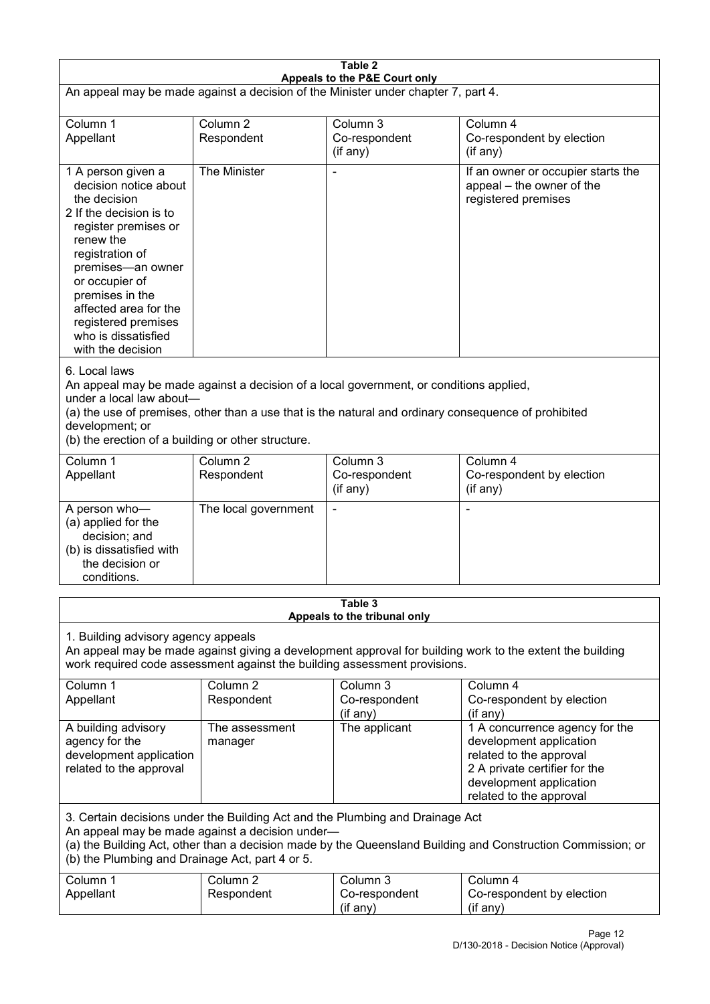| Table 2<br>Appeals to the P&E Court only                                                                                                                                                                                                                                                                             |                                   |                                         |                                                                                                                                                                             |  |
|----------------------------------------------------------------------------------------------------------------------------------------------------------------------------------------------------------------------------------------------------------------------------------------------------------------------|-----------------------------------|-----------------------------------------|-----------------------------------------------------------------------------------------------------------------------------------------------------------------------------|--|
| An appeal may be made against a decision of the Minister under chapter 7, part 4.                                                                                                                                                                                                                                    |                                   |                                         |                                                                                                                                                                             |  |
| Column 1<br>Appellant                                                                                                                                                                                                                                                                                                | Column <sub>2</sub><br>Respondent | Column 3<br>Co-respondent<br>(if any)   | Column 4<br>Co-respondent by election<br>(if any)                                                                                                                           |  |
| 1 A person given a<br>decision notice about<br>the decision<br>2 If the decision is to<br>register premises or<br>renew the<br>registration of<br>premises-an owner<br>or occupier of<br>premises in the<br>affected area for the<br>registered premises<br>who is dissatisfied<br>with the decision                 | The Minister                      |                                         | If an owner or occupier starts the<br>appeal – the owner of the<br>registered premises                                                                                      |  |
| 6. Local laws<br>An appeal may be made against a decision of a local government, or conditions applied,<br>under a local law about-<br>(a) the use of premises, other than a use that is the natural and ordinary consequence of prohibited<br>development; or<br>(b) the erection of a building or other structure. |                                   |                                         |                                                                                                                                                                             |  |
| Column 1<br>Appellant                                                                                                                                                                                                                                                                                                | Column <sub>2</sub><br>Respondent | Column 3<br>Co-respondent<br>(if any)   | Column 4<br>Co-respondent by election<br>(if any)                                                                                                                           |  |
| A person who-<br>(a) applied for the<br>decision; and<br>(b) is dissatisfied with<br>the decision or<br>conditions.                                                                                                                                                                                                  | The local government              |                                         |                                                                                                                                                                             |  |
|                                                                                                                                                                                                                                                                                                                      |                                   | Table 3<br>Appeals to the tribunal only |                                                                                                                                                                             |  |
| 1. Building advisory agency appeals<br>An appeal may be made against giving a development approval for building work to the extent the building<br>work required code assessment against the building assessment provisions.                                                                                         |                                   |                                         |                                                                                                                                                                             |  |
| Column 1<br>Appellant                                                                                                                                                                                                                                                                                                | Column <sub>2</sub><br>Respondent | Column 3<br>Co-respondent<br>(if any)   | Column 4<br>Co-respondent by election<br>(if any)                                                                                                                           |  |
| A building advisory<br>agency for the<br>development application<br>related to the approval                                                                                                                                                                                                                          | The assessment<br>manager         | The applicant                           | 1 A concurrence agency for the<br>development application<br>related to the approval<br>2 A private certifier for the<br>development application<br>related to the approval |  |
| 3. Certain decisions under the Building Act and the Plumbing and Drainage Act<br>An appeal may be made against a decision under-<br>(a) the Building Act, other than a decision made by the Queensland Building and Construction Commission; or<br>(b) the Plumbing and Drainage Act, part 4 or 5.                   |                                   |                                         |                                                                                                                                                                             |  |
| Column 1<br>Appellant                                                                                                                                                                                                                                                                                                | Column <sub>2</sub><br>Respondent | Column 3<br>Co-respondent<br>(if any)   | Column 4<br>Co-respondent by election<br>(if any)                                                                                                                           |  |